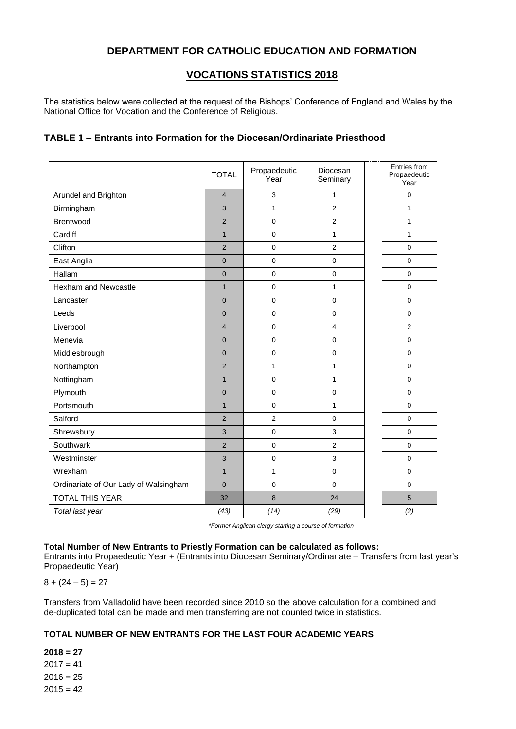## **DEPARTMENT FOR CATHOLIC EDUCATION AND FORMATION**

### **VOCATIONS STATISTICS 2018**

The statistics below were collected at the request of the Bishops' Conference of England and Wales by the National Office for Vocation and the Conference of Religious.

#### **TABLE 1 – Entrants into Formation for the Diocesan/Ordinariate Priesthood**

|                                       | <b>TOTAL</b>   | Propaedeutic<br>Year | Diocesan<br>Seminary | Entries from<br>Propaedeutic<br>Year |
|---------------------------------------|----------------|----------------------|----------------------|--------------------------------------|
| Arundel and Brighton                  | $\overline{4}$ | 3                    | 1                    | 0                                    |
| Birmingham                            | 3              | $\mathbf{1}$         | $\overline{2}$       | $\mathbf{1}$                         |
| Brentwood                             | $\overline{2}$ | 0                    | $\overline{2}$       | $\mathbf{1}$                         |
| Cardiff                               | $\mathbf{1}$   | $\pmb{0}$            | $\mathbf{1}$         | $\mathbf{1}$                         |
| Clifton                               | $\overline{2}$ | $\mathbf 0$          | $\overline{2}$       | $\mathbf 0$                          |
| East Anglia                           | $\overline{0}$ | $\mathbf 0$          | $\mathbf 0$          | $\mathbf 0$                          |
| Hallam                                | $\overline{0}$ | $\mathbf 0$          | $\mathsf{O}\xspace$  | $\mathbf 0$                          |
| Hexham and Newcastle                  | $\mathbf{1}$   | $\mathbf 0$          | $\mathbf{1}$         | $\mathbf 0$                          |
| Lancaster                             | $\Omega$       | $\Omega$             | $\mathbf 0$          | $\Omega$                             |
| Leeds                                 | $\Omega$       | $\mathbf 0$          | $\mathbf 0$          | $\Omega$                             |
| Liverpool                             | $\overline{4}$ | $\mathbf 0$          | $\overline{4}$       | $\overline{2}$                       |
| Menevia                               | $\overline{0}$ | $\mathbf 0$          | $\mathbf 0$          | $\mathbf 0$                          |
| Middlesbrough                         | $\overline{0}$ | $\mathbf 0$          | $\mathbf 0$          | $\mathbf 0$                          |
| Northampton                           | $\overline{2}$ | $\mathbf{1}$         | $\mathbf{1}$         | $\mathbf 0$                          |
| Nottingham                            | $\mathbf{1}$   | $\mathbf 0$          | 1                    | $\mathbf 0$                          |
| Plymouth                              | $\overline{0}$ | $\Omega$             | $\mathbf 0$          | $\mathbf 0$                          |
| Portsmouth                            | $\mathbf{1}$   | $\overline{0}$       | $\mathbf{1}$         | $\Omega$                             |
| Salford                               | $\overline{2}$ | $\overline{2}$       | $\mathbf 0$          | $\mathbf 0$                          |
| Shrewsbury                            | 3              | 0                    | 3                    | $\Omega$                             |
| Southwark                             | $\overline{2}$ | $\Omega$             | $\overline{2}$       | $\Omega$                             |
| Westminster                           | 3              | $\mathbf 0$          | 3                    | $\Omega$                             |
| Wrexham                               | $\mathbf{1}$   | $\mathbf{1}$         | $\mathbf 0$          | $\mathbf 0$                          |
| Ordinariate of Our Lady of Walsingham | $\Omega$       | $\Omega$             | $\Omega$             | $\Omega$                             |
| <b>TOTAL THIS YEAR</b>                | 32             | 8                    | 24                   | 5                                    |
| Total last year                       | (43)           | (14)                 | (29)                 | (2)                                  |

*\*Former Anglican clergy starting a course of formation*

#### **Total Number of New Entrants to Priestly Formation can be calculated as follows:**

Entrants into Propaedeutic Year + (Entrants into Diocesan Seminary/Ordinariate – Transfers from last year's Propaedeutic Year)

 $8 + (24 - 5) = 27$ 

Transfers from Valladolid have been recorded since 2010 so the above calculation for a combined and de-duplicated total can be made and men transferring are not counted twice in statistics.

#### **TOTAL NUMBER OF NEW ENTRANTS FOR THE LAST FOUR ACADEMIC YEARS**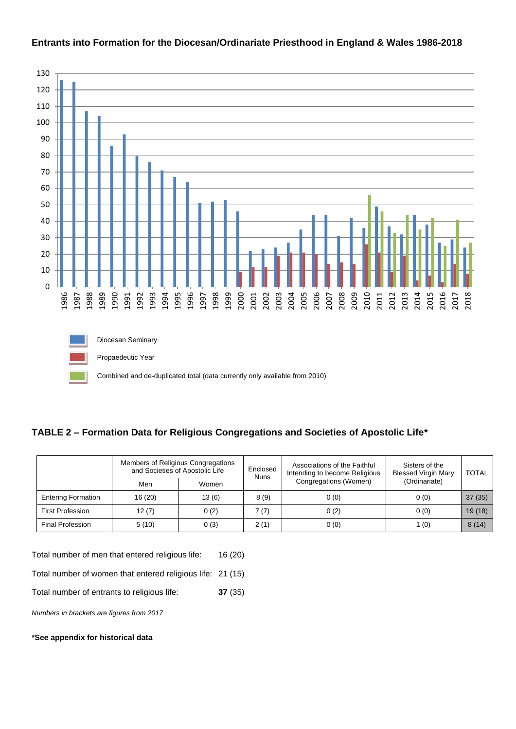

## **Entrants into Formation for the Diocesan/Ordinariate Priesthood in England & Wales 1986-2018**

Combined and de-duplicated total (data currently only available from 2010)

# **TABLE 2 – Formation Data for Religious Congregations and Societies of Apostolic Life\***

|                           | Members of Religious Congregations<br>and Societies of Apostolic Life |       | Enclosed<br><b>Nuns</b> | Associations of the Faithful<br>Intending to become Religious | Sisters of the<br><b>Blessed Virgin Mary</b> | <b>TOTAL</b> |
|---------------------------|-----------------------------------------------------------------------|-------|-------------------------|---------------------------------------------------------------|----------------------------------------------|--------------|
|                           | Men                                                                   | Women |                         | Congregations (Women)                                         | (Ordinariate)                                |              |
| <b>Entering Formation</b> | 16 (20)                                                               | 13(6) | 8(9)                    | 0(0)                                                          | 0(0)                                         | 37(35)       |
| <b>First Profession</b>   | 12(7)                                                                 | 0(2)  | 7(7)                    | 0(2)                                                          | 0(0)                                         | 19(18)       |
| <b>Final Profession</b>   | 5(10)                                                                 | 0(3)  | 2(1)                    | 0(0)                                                          | l (0)                                        | 8(14)        |

Total number of men that entered religious life: 16 (20)

Total number of women that entered religious life: 21 (15)

Total number of entrants to religious life: **37** (35)

*Numbers in brackets are figures from 2017*

#### **\*See appendix for historical data**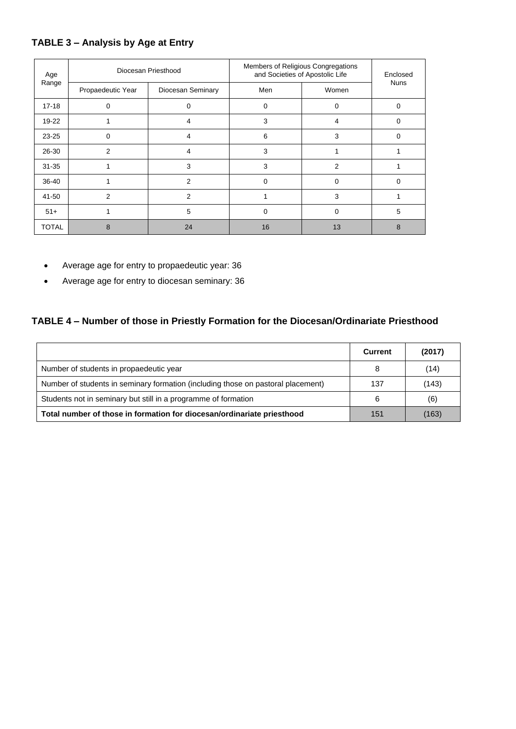## **TABLE 3 – Analysis by Age at Entry**

| Age<br>Range | Diocesan Priesthood |                   | Members of Religious Congregations<br>and Societies of Apostolic Life | Enclosed       |             |
|--------------|---------------------|-------------------|-----------------------------------------------------------------------|----------------|-------------|
|              | Propaedeutic Year   | Diocesan Seminary | Men                                                                   | Women          | <b>Nuns</b> |
| $17 - 18$    | 0                   | 0                 | 0                                                                     | 0              | $\Omega$    |
| $19 - 22$    |                     | 4                 | 3                                                                     | 4              | O           |
| $23 - 25$    | $\Omega$            | 4                 | 6                                                                     | 3              | $\Omega$    |
| 26-30        | 2                   | 4                 | 3                                                                     |                |             |
| $31 - 35$    |                     | 3                 | 3                                                                     | $\overline{2}$ |             |
| 36-40        |                     | 2                 | 0                                                                     | $\Omega$       | $\Omega$    |
| 41-50        | 2                   | $\mathfrak{p}$    |                                                                       | 3              |             |
| $51+$        |                     | 5                 | 0                                                                     | 0              | 5           |
| <b>TOTAL</b> | 8                   | 24                | 16                                                                    | 13             | 8           |

- Average age for entry to propaedeutic year: 36
- Average age for entry to diocesan seminary: 36

# **TABLE 4 – Number of those in Priestly Formation for the Diocesan/Ordinariate Priesthood**

|                                                                                  | <b>Current</b> | (2017) |
|----------------------------------------------------------------------------------|----------------|--------|
| Number of students in propaedeutic year                                          | 8              | (14)   |
| Number of students in seminary formation (including those on pastoral placement) | 137            | (143)  |
| Students not in seminary but still in a programme of formation                   | 6              | (6)    |
| Total number of those in formation for diocesan/ordinariate priesthood           | 151            | (163)  |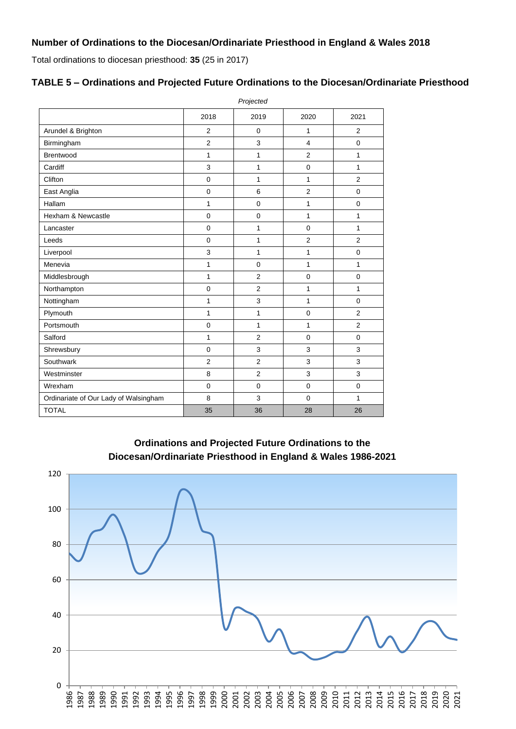#### **Number of Ordinations to the Diocesan/Ordinariate Priesthood in England & Wales 2018**

Total ordinations to diocesan priesthood: **35** (25 in 2017)

#### *Projected* 2018 2019 2020 2021 Arundel & Brighton 2 0 1 1 2 Birmingham 2 2 3 4 0 Brentwood 1 1 1 2 1 Cardiff 3 1 0 1 Clifton | 0 | 1 | 2 East Anglia (a)  $\begin{array}{|c|c|c|c|c|c|c|c|} \hline \end{array}$  (b)  $\begin{array}{|c|c|c|c|c|c|c|c|} \hline 0 & 6 & 2 & 0 \\ \hline \end{array}$ Hallam | 1 | 0 | 1 | 0 Hexham & Newcastle 0 0 1 1 Lancaster | 0 | 1 | 0 | 1 Leeds | 0 1 2 | 2 Liverpool | 3 | 1 | 1 | 0 Menevia 1 0 1 1 Middlesbrough **1** 1 2 0 0 Northampton 1 0 2 1 1 1 Nottingham 1 1 3 1 0 Plymouth | 1 | 1 2 Portsmouth 1 0 1 1 1 2 Salford 1 2 0 0 Shrewsbury 1 0 3 3 3 Southwark  $\begin{array}{|c|c|c|c|c|c|c|c|c|} \hline \rule{0.2cm}{0.2cm} & \multicolumn{3}{c|}{2} & \multicolumn{3}{c|}{3} & \multicolumn{3}{c|}{3} & \multicolumn{3}{c|}{3} \\\hline \end{array}$ Westminster  $\begin{array}{|c|c|c|c|c|c|c|c|c|} \hline \rule{0.2cm}{0.2cm} 8 & \quad & 2 & \quad & 3 & \quad & 3 \ \hline \end{array}$ Wrexham 0 0 0 0 Ordinariate of Our Lady of Walsingham 8 3 0 1 TOTAL 35 36 28 26

| TABLE 5 – Ordinations and Projected Future Ordinations to the Diocesan/Ordinariate Priesthood |  |  |
|-----------------------------------------------------------------------------------------------|--|--|
|                                                                                               |  |  |

**Ordinations and Projected Future Ordinations to the Diocesan/Ordinariate Priesthood in England & Wales 1986-2021**